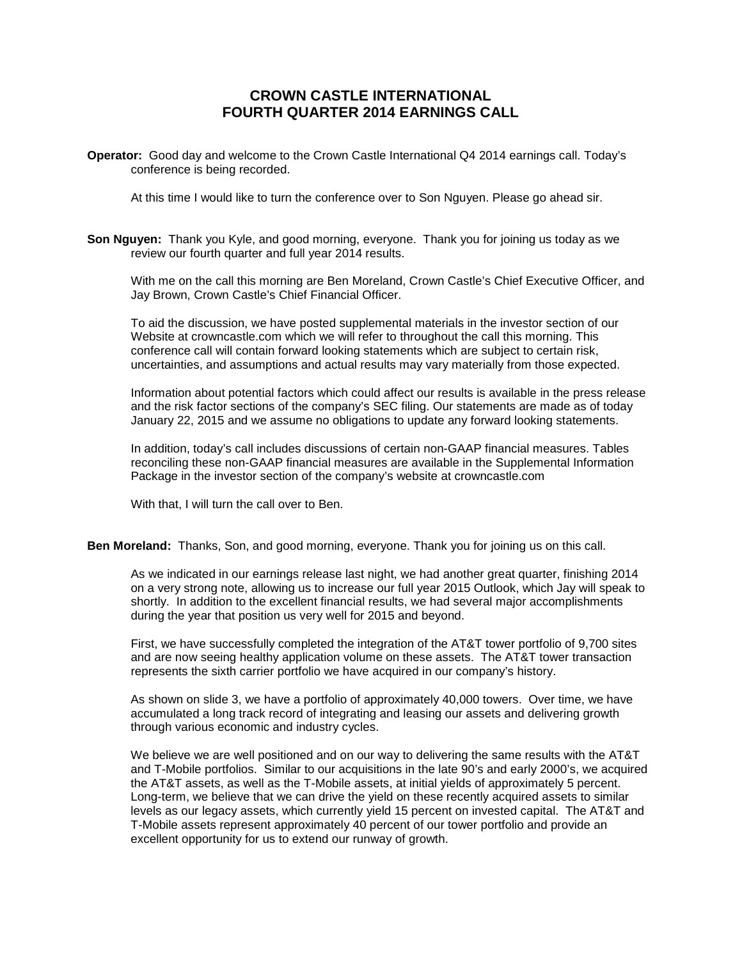# **CROWN CASTLE INTERNATIONAL FOURTH QUARTER 2014 EARNINGS CALL**

**Operator:** Good day and welcome to the Crown Castle International Q4 2014 earnings call. Today's conference is being recorded.

At this time I would like to turn the conference over to Son Nguyen. Please go ahead sir.

**Son Nguyen:** Thank you Kyle, and good morning, everyone. Thank you for joining us today as we review our fourth quarter and full year 2014 results.

With me on the call this morning are Ben Moreland, Crown Castle's Chief Executive Officer, and Jay Brown, Crown Castle's Chief Financial Officer.

To aid the discussion, we have posted supplemental materials in the investor section of our Website at crowncastle.com which we will refer to throughout the call this morning. This conference call will contain forward looking statements which are subject to certain risk, uncertainties, and assumptions and actual results may vary materially from those expected.

Information about potential factors which could affect our results is available in the press release and the risk factor sections of the company's SEC filing. Our statements are made as of today January 22, 2015 and we assume no obligations to update any forward looking statements.

In addition, today's call includes discussions of certain non-GAAP financial measures. Tables reconciling these non-GAAP financial measures are available in the Supplemental Information Package in the investor section of the company's website at crowncastle.com

With that, I will turn the call over to Ben.

**Ben Moreland:** Thanks, Son, and good morning, everyone. Thank you for joining us on this call.

As we indicated in our earnings release last night, we had another great quarter, finishing 2014 on a very strong note, allowing us to increase our full year 2015 Outlook, which Jay will speak to shortly. In addition to the excellent financial results, we had several major accomplishments during the year that position us very well for 2015 and beyond.

First, we have successfully completed the integration of the AT&T tower portfolio of 9,700 sites and are now seeing healthy application volume on these assets. The AT&T tower transaction represents the sixth carrier portfolio we have acquired in our company's history.

As shown on slide 3, we have a portfolio of approximately 40,000 towers. Over time, we have accumulated a long track record of integrating and leasing our assets and delivering growth through various economic and industry cycles.

We believe we are well positioned and on our way to delivering the same results with the AT&T and T-Mobile portfolios. Similar to our acquisitions in the late 90's and early 2000's, we acquired the AT&T assets, as well as the T-Mobile assets, at initial yields of approximately 5 percent. Long-term, we believe that we can drive the yield on these recently acquired assets to similar levels as our legacy assets, which currently yield 15 percent on invested capital. The AT&T and T-Mobile assets represent approximately 40 percent of our tower portfolio and provide an excellent opportunity for us to extend our runway of growth.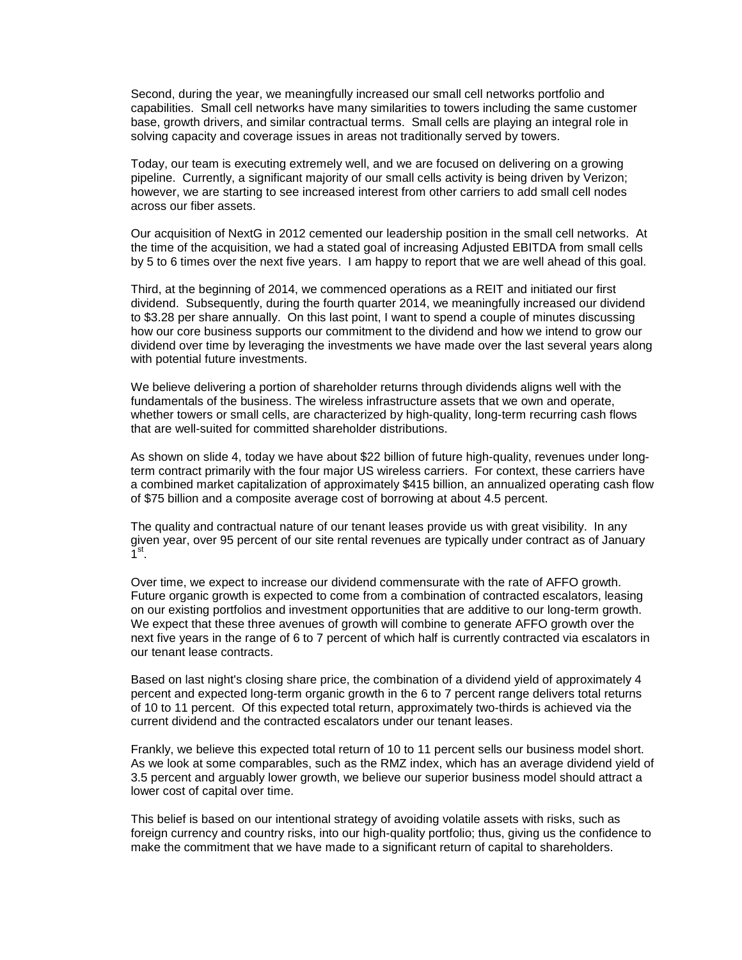Second, during the year, we meaningfully increased our small cell networks portfolio and capabilities. Small cell networks have many similarities to towers including the same customer base, growth drivers, and similar contractual terms. Small cells are playing an integral role in solving capacity and coverage issues in areas not traditionally served by towers.

Today, our team is executing extremely well, and we are focused on delivering on a growing pipeline. Currently, a significant majority of our small cells activity is being driven by Verizon; however, we are starting to see increased interest from other carriers to add small cell nodes across our fiber assets.

Our acquisition of NextG in 2012 cemented our leadership position in the small cell networks. At the time of the acquisition, we had a stated goal of increasing Adjusted EBITDA from small cells by 5 to 6 times over the next five years. I am happy to report that we are well ahead of this goal.

Third, at the beginning of 2014, we commenced operations as a REIT and initiated our first dividend. Subsequently, during the fourth quarter 2014, we meaningfully increased our dividend to \$3.28 per share annually. On this last point, I want to spend a couple of minutes discussing how our core business supports our commitment to the dividend and how we intend to grow our dividend over time by leveraging the investments we have made over the last several years along with potential future investments.

We believe delivering a portion of shareholder returns through dividends aligns well with the fundamentals of the business. The wireless infrastructure assets that we own and operate, whether towers or small cells, are characterized by high-quality, long-term recurring cash flows that are well-suited for committed shareholder distributions.

As shown on slide 4, today we have about \$22 billion of future high-quality, revenues under longterm contract primarily with the four major US wireless carriers. For context, these carriers have a combined market capitalization of approximately \$415 billion, an annualized operating cash flow of \$75 billion and a composite average cost of borrowing at about 4.5 percent.

The quality and contractual nature of our tenant leases provide us with great visibility. In any given year, over 95 percent of our site rental revenues are typically under contract as of January  $\overline{1}$ <sup>st</sup>.

Over time, we expect to increase our dividend commensurate with the rate of AFFO growth. Future organic growth is expected to come from a combination of contracted escalators, leasing on our existing portfolios and investment opportunities that are additive to our long-term growth. We expect that these three avenues of growth will combine to generate AFFO growth over the next five years in the range of 6 to 7 percent of which half is currently contracted via escalators in our tenant lease contracts.

Based on last night's closing share price, the combination of a dividend yield of approximately 4 percent and expected long-term organic growth in the 6 to 7 percent range delivers total returns of 10 to 11 percent. Of this expected total return, approximately two-thirds is achieved via the current dividend and the contracted escalators under our tenant leases.

Frankly, we believe this expected total return of 10 to 11 percent sells our business model short. As we look at some comparables, such as the RMZ index, which has an average dividend yield of 3.5 percent and arguably lower growth, we believe our superior business model should attract a lower cost of capital over time.

This belief is based on our intentional strategy of avoiding volatile assets with risks, such as foreign currency and country risks, into our high-quality portfolio; thus, giving us the confidence to make the commitment that we have made to a significant return of capital to shareholders.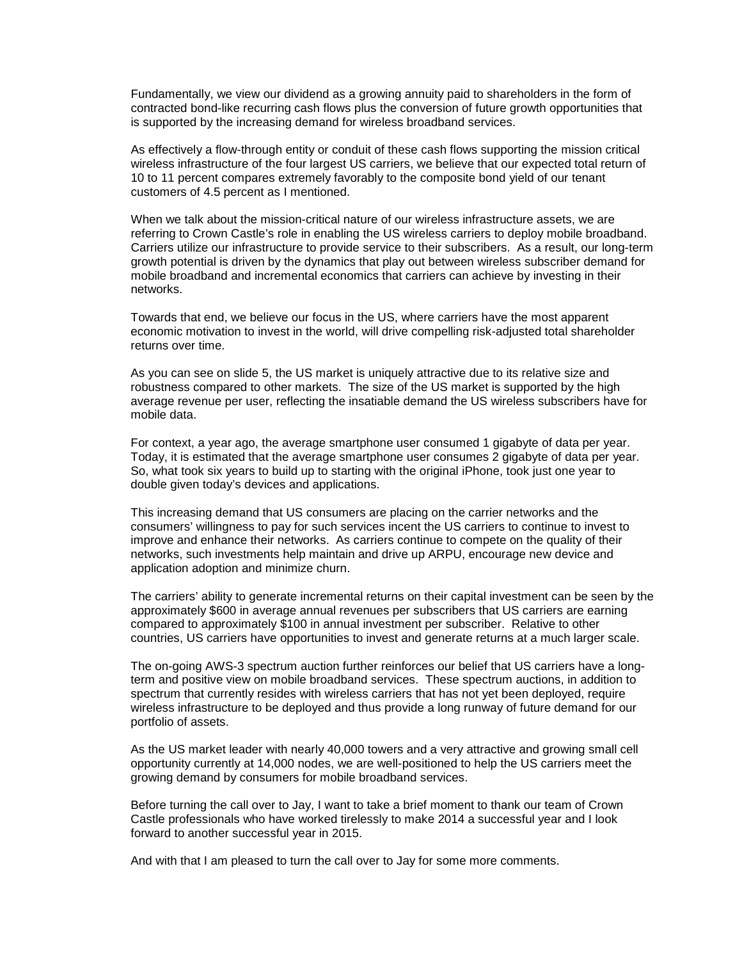Fundamentally, we view our dividend as a growing annuity paid to shareholders in the form of contracted bond-like recurring cash flows plus the conversion of future growth opportunities that is supported by the increasing demand for wireless broadband services.

As effectively a flow-through entity or conduit of these cash flows supporting the mission critical wireless infrastructure of the four largest US carriers, we believe that our expected total return of 10 to 11 percent compares extremely favorably to the composite bond yield of our tenant customers of 4.5 percent as I mentioned.

When we talk about the mission-critical nature of our wireless infrastructure assets, we are referring to Crown Castle's role in enabling the US wireless carriers to deploy mobile broadband. Carriers utilize our infrastructure to provide service to their subscribers. As a result, our long-term growth potential is driven by the dynamics that play out between wireless subscriber demand for mobile broadband and incremental economics that carriers can achieve by investing in their networks.

Towards that end, we believe our focus in the US, where carriers have the most apparent economic motivation to invest in the world, will drive compelling risk-adjusted total shareholder returns over time.

As you can see on slide 5, the US market is uniquely attractive due to its relative size and robustness compared to other markets. The size of the US market is supported by the high average revenue per user, reflecting the insatiable demand the US wireless subscribers have for mobile data.

For context, a year ago, the average smartphone user consumed 1 gigabyte of data per year. Today, it is estimated that the average smartphone user consumes 2 gigabyte of data per year. So, what took six years to build up to starting with the original iPhone, took just one year to double given today's devices and applications.

This increasing demand that US consumers are placing on the carrier networks and the consumers' willingness to pay for such services incent the US carriers to continue to invest to improve and enhance their networks. As carriers continue to compete on the quality of their networks, such investments help maintain and drive up ARPU, encourage new device and application adoption and minimize churn.

The carriers' ability to generate incremental returns on their capital investment can be seen by the approximately \$600 in average annual revenues per subscribers that US carriers are earning compared to approximately \$100 in annual investment per subscriber. Relative to other countries, US carriers have opportunities to invest and generate returns at a much larger scale.

The on-going AWS-3 spectrum auction further reinforces our belief that US carriers have a longterm and positive view on mobile broadband services. These spectrum auctions, in addition to spectrum that currently resides with wireless carriers that has not yet been deployed, require wireless infrastructure to be deployed and thus provide a long runway of future demand for our portfolio of assets.

As the US market leader with nearly 40,000 towers and a very attractive and growing small cell opportunity currently at 14,000 nodes, we are well-positioned to help the US carriers meet the growing demand by consumers for mobile broadband services.

Before turning the call over to Jay, I want to take a brief moment to thank our team of Crown Castle professionals who have worked tirelessly to make 2014 a successful year and I look forward to another successful year in 2015.

And with that I am pleased to turn the call over to Jay for some more comments.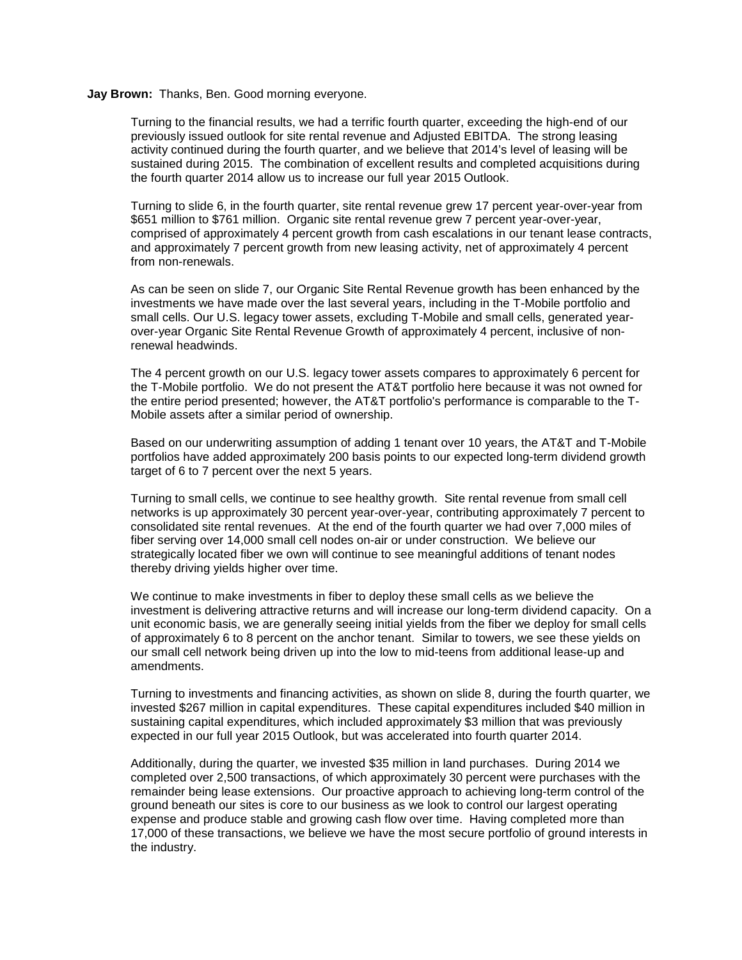## **Jay Brown:** Thanks, Ben. Good morning everyone.

Turning to the financial results, we had a terrific fourth quarter, exceeding the high-end of our previously issued outlook for site rental revenue and Adjusted EBITDA. The strong leasing activity continued during the fourth quarter, and we believe that 2014's level of leasing will be sustained during 2015. The combination of excellent results and completed acquisitions during the fourth quarter 2014 allow us to increase our full year 2015 Outlook.

Turning to slide 6, in the fourth quarter, site rental revenue grew 17 percent year-over-year from \$651 million to \$761 million. Organic site rental revenue grew 7 percent year-over-year, comprised of approximately 4 percent growth from cash escalations in our tenant lease contracts, and approximately 7 percent growth from new leasing activity, net of approximately 4 percent from non-renewals.

As can be seen on slide 7, our Organic Site Rental Revenue growth has been enhanced by the investments we have made over the last several years, including in the T-Mobile portfolio and small cells. Our U.S. legacy tower assets, excluding T-Mobile and small cells, generated yearover-year Organic Site Rental Revenue Growth of approximately 4 percent, inclusive of nonrenewal headwinds.

The 4 percent growth on our U.S. legacy tower assets compares to approximately 6 percent for the T-Mobile portfolio. We do not present the AT&T portfolio here because it was not owned for the entire period presented; however, the AT&T portfolio's performance is comparable to the T-Mobile assets after a similar period of ownership.

Based on our underwriting assumption of adding 1 tenant over 10 years, the AT&T and T-Mobile portfolios have added approximately 200 basis points to our expected long-term dividend growth target of 6 to 7 percent over the next 5 years.

Turning to small cells, we continue to see healthy growth. Site rental revenue from small cell networks is up approximately 30 percent year-over-year, contributing approximately 7 percent to consolidated site rental revenues. At the end of the fourth quarter we had over 7,000 miles of fiber serving over 14,000 small cell nodes on-air or under construction. We believe our strategically located fiber we own will continue to see meaningful additions of tenant nodes thereby driving yields higher over time.

We continue to make investments in fiber to deploy these small cells as we believe the investment is delivering attractive returns and will increase our long-term dividend capacity. On a unit economic basis, we are generally seeing initial yields from the fiber we deploy for small cells of approximately 6 to 8 percent on the anchor tenant. Similar to towers, we see these yields on our small cell network being driven up into the low to mid-teens from additional lease-up and amendments.

Turning to investments and financing activities, as shown on slide 8, during the fourth quarter, we invested \$267 million in capital expenditures. These capital expenditures included \$40 million in sustaining capital expenditures, which included approximately \$3 million that was previously expected in our full year 2015 Outlook, but was accelerated into fourth quarter 2014.

Additionally, during the quarter, we invested \$35 million in land purchases. During 2014 we completed over 2,500 transactions, of which approximately 30 percent were purchases with the remainder being lease extensions. Our proactive approach to achieving long-term control of the ground beneath our sites is core to our business as we look to control our largest operating expense and produce stable and growing cash flow over time. Having completed more than 17,000 of these transactions, we believe we have the most secure portfolio of ground interests in the industry.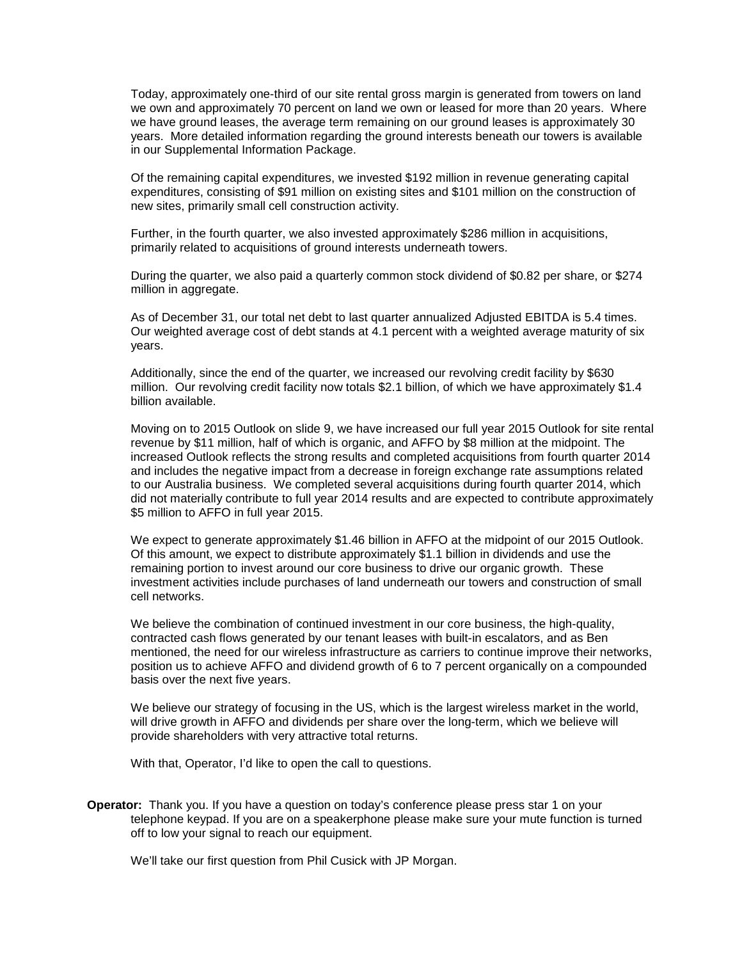Today, approximately one-third of our site rental gross margin is generated from towers on land we own and approximately 70 percent on land we own or leased for more than 20 years. Where we have ground leases, the average term remaining on our ground leases is approximately 30 years. More detailed information regarding the ground interests beneath our towers is available in our Supplemental Information Package.

Of the remaining capital expenditures, we invested \$192 million in revenue generating capital expenditures, consisting of \$91 million on existing sites and \$101 million on the construction of new sites, primarily small cell construction activity.

Further, in the fourth quarter, we also invested approximately \$286 million in acquisitions, primarily related to acquisitions of ground interests underneath towers.

During the quarter, we also paid a quarterly common stock dividend of \$0.82 per share, or \$274 million in aggregate.

As of December 31, our total net debt to last quarter annualized Adjusted EBITDA is 5.4 times. Our weighted average cost of debt stands at 4.1 percent with a weighted average maturity of six years.

Additionally, since the end of the quarter, we increased our revolving credit facility by \$630 million. Our revolving credit facility now totals \$2.1 billion, of which we have approximately \$1.4 billion available.

Moving on to 2015 Outlook on slide 9, we have increased our full year 2015 Outlook for site rental revenue by \$11 million, half of which is organic, and AFFO by \$8 million at the midpoint. The increased Outlook reflects the strong results and completed acquisitions from fourth quarter 2014 and includes the negative impact from a decrease in foreign exchange rate assumptions related to our Australia business. We completed several acquisitions during fourth quarter 2014, which did not materially contribute to full year 2014 results and are expected to contribute approximately \$5 million to AFFO in full year 2015.

We expect to generate approximately \$1.46 billion in AFFO at the midpoint of our 2015 Outlook. Of this amount, we expect to distribute approximately \$1.1 billion in dividends and use the remaining portion to invest around our core business to drive our organic growth. These investment activities include purchases of land underneath our towers and construction of small cell networks.

We believe the combination of continued investment in our core business, the high-quality, contracted cash flows generated by our tenant leases with built-in escalators, and as Ben mentioned, the need for our wireless infrastructure as carriers to continue improve their networks, position us to achieve AFFO and dividend growth of 6 to 7 percent organically on a compounded basis over the next five years.

We believe our strategy of focusing in the US, which is the largest wireless market in the world, will drive growth in AFFO and dividends per share over the long-term, which we believe will provide shareholders with very attractive total returns.

With that, Operator, I'd like to open the call to questions.

**Operator:** Thank you. If you have a question on today's conference please press star 1 on your telephone keypad. If you are on a speakerphone please make sure your mute function is turned off to low your signal to reach our equipment.

We'll take our first question from Phil Cusick with JP Morgan.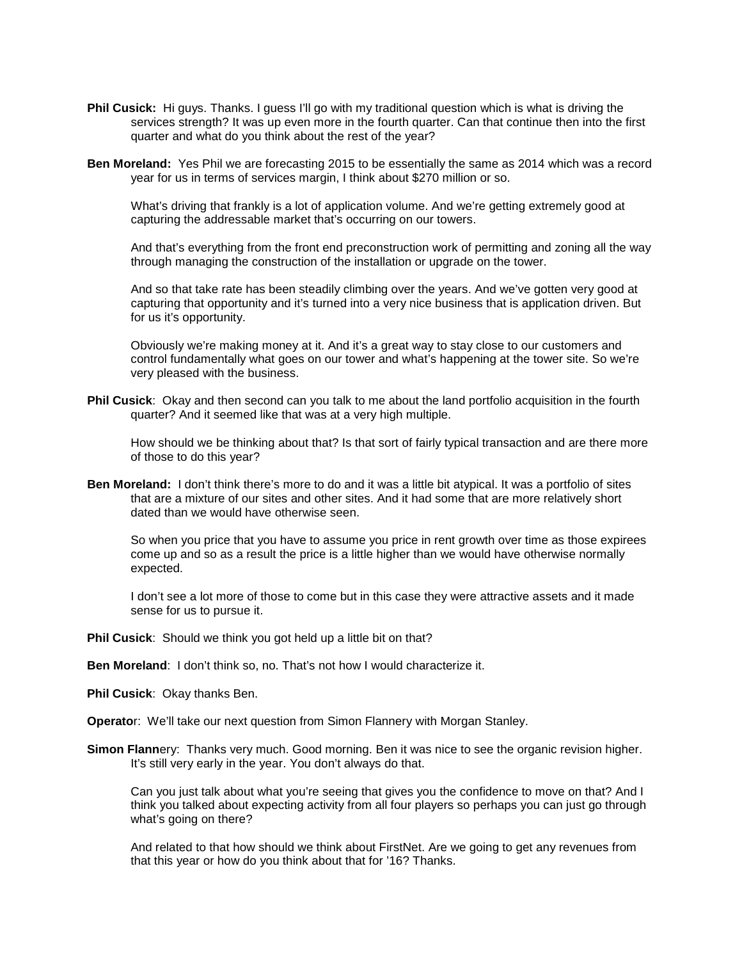- **Phil Cusick:** Hi guys. Thanks. I guess I'll go with my traditional guestion which is what is driving the services strength? It was up even more in the fourth quarter. Can that continue then into the first quarter and what do you think about the rest of the year?
- **Ben Moreland:** Yes Phil we are forecasting 2015 to be essentially the same as 2014 which was a record year for us in terms of services margin, I think about \$270 million or so.

What's driving that frankly is a lot of application volume. And we're getting extremely good at capturing the addressable market that's occurring on our towers.

And that's everything from the front end preconstruction work of permitting and zoning all the way through managing the construction of the installation or upgrade on the tower.

And so that take rate has been steadily climbing over the years. And we've gotten very good at capturing that opportunity and it's turned into a very nice business that is application driven. But for us it's opportunity.

Obviously we're making money at it. And it's a great way to stay close to our customers and control fundamentally what goes on our tower and what's happening at the tower site. So we're very pleased with the business.

**Phil Cusick**: Okay and then second can you talk to me about the land portfolio acquisition in the fourth quarter? And it seemed like that was at a very high multiple.

How should we be thinking about that? Is that sort of fairly typical transaction and are there more of those to do this year?

**Ben Moreland:** I don't think there's more to do and it was a little bit atypical. It was a portfolio of sites that are a mixture of our sites and other sites. And it had some that are more relatively short dated than we would have otherwise seen.

So when you price that you have to assume you price in rent growth over time as those expirees come up and so as a result the price is a little higher than we would have otherwise normally expected.

I don't see a lot more of those to come but in this case they were attractive assets and it made sense for us to pursue it.

- **Phil Cusick**: Should we think you got held up a little bit on that?
- **Ben Moreland**: I don't think so, no. That's not how I would characterize it.

**Phil Cusick**: Okay thanks Ben.

**Operato**r: We'll take our next question from Simon Flannery with Morgan Stanley.

**Simon Flann**ery: Thanks very much. Good morning. Ben it was nice to see the organic revision higher. It's still very early in the year. You don't always do that.

Can you just talk about what you're seeing that gives you the confidence to move on that? And I think you talked about expecting activity from all four players so perhaps you can just go through what's going on there?

And related to that how should we think about FirstNet. Are we going to get any revenues from that this year or how do you think about that for '16? Thanks.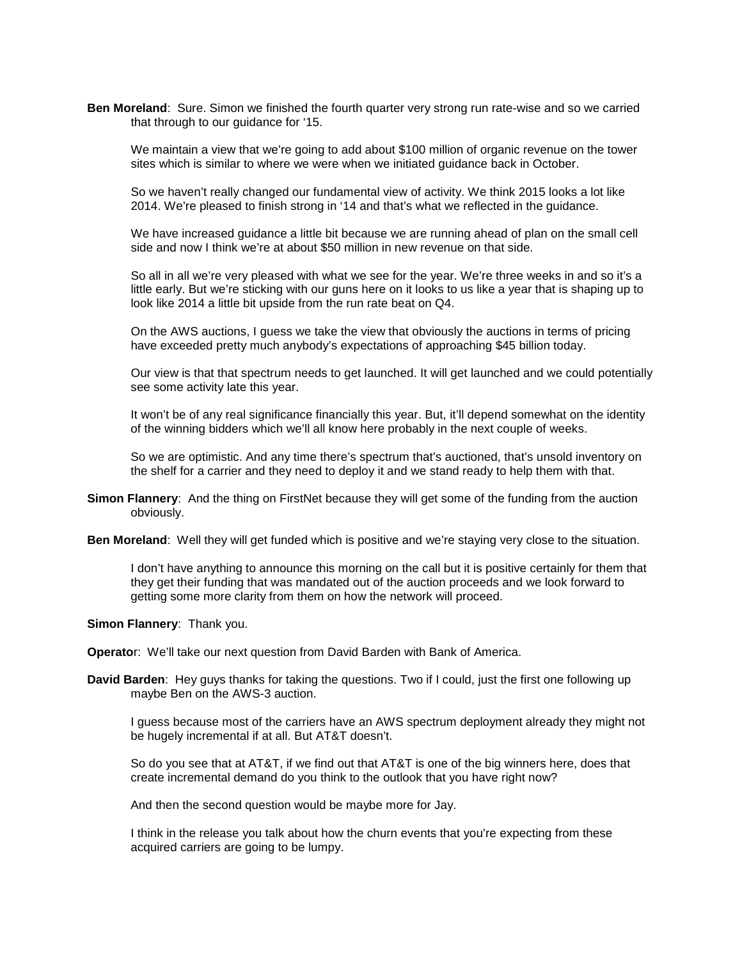**Ben Moreland**: Sure. Simon we finished the fourth quarter very strong run rate-wise and so we carried that through to our guidance for '15.

We maintain a view that we're going to add about \$100 million of organic revenue on the tower sites which is similar to where we were when we initiated guidance back in October.

So we haven't really changed our fundamental view of activity. We think 2015 looks a lot like 2014. We're pleased to finish strong in '14 and that's what we reflected in the guidance.

We have increased guidance a little bit because we are running ahead of plan on the small cell side and now I think we're at about \$50 million in new revenue on that side.

So all in all we're very pleased with what we see for the year. We're three weeks in and so it's a little early. But we're sticking with our guns here on it looks to us like a year that is shaping up to look like 2014 a little bit upside from the run rate beat on Q4.

On the AWS auctions, I guess we take the view that obviously the auctions in terms of pricing have exceeded pretty much anybody's expectations of approaching \$45 billion today.

Our view is that that spectrum needs to get launched. It will get launched and we could potentially see some activity late this year.

It won't be of any real significance financially this year. But, it'll depend somewhat on the identity of the winning bidders which we'll all know here probably in the next couple of weeks.

So we are optimistic. And any time there's spectrum that's auctioned, that's unsold inventory on the shelf for a carrier and they need to deploy it and we stand ready to help them with that.

- **Simon Flannery**: And the thing on FirstNet because they will get some of the funding from the auction obviously.
- **Ben Moreland**: Well they will get funded which is positive and we're staying very close to the situation.

I don't have anything to announce this morning on the call but it is positive certainly for them that they get their funding that was mandated out of the auction proceeds and we look forward to getting some more clarity from them on how the network will proceed.

**Simon Flannery**: Thank you.

**Operato**r: We'll take our next question from David Barden with Bank of America.

**David Barden**: Hey guys thanks for taking the questions. Two if I could, just the first one following up maybe Ben on the AWS-3 auction.

I guess because most of the carriers have an AWS spectrum deployment already they might not be hugely incremental if at all. But AT&T doesn't.

So do you see that at AT&T, if we find out that AT&T is one of the big winners here, does that create incremental demand do you think to the outlook that you have right now?

And then the second question would be maybe more for Jay.

I think in the release you talk about how the churn events that you're expecting from these acquired carriers are going to be lumpy.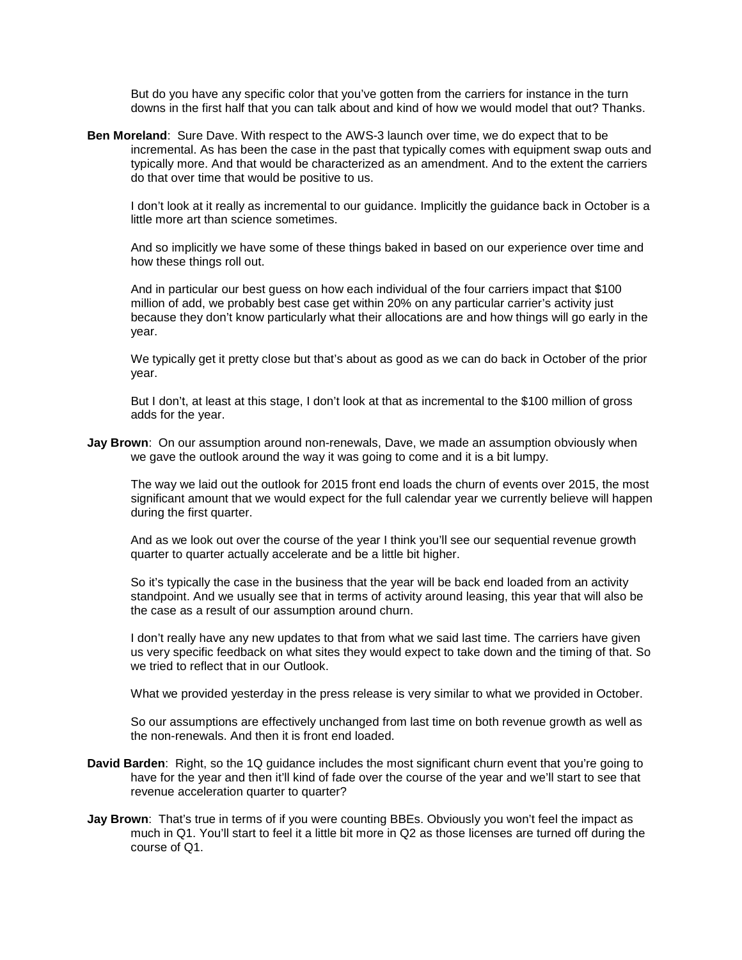But do you have any specific color that you've gotten from the carriers for instance in the turn downs in the first half that you can talk about and kind of how we would model that out? Thanks.

**Ben Moreland**: Sure Dave. With respect to the AWS-3 launch over time, we do expect that to be incremental. As has been the case in the past that typically comes with equipment swap outs and typically more. And that would be characterized as an amendment. And to the extent the carriers do that over time that would be positive to us.

I don't look at it really as incremental to our guidance. Implicitly the guidance back in October is a little more art than science sometimes.

And so implicitly we have some of these things baked in based on our experience over time and how these things roll out.

And in particular our best guess on how each individual of the four carriers impact that \$100 million of add, we probably best case get within 20% on any particular carrier's activity just because they don't know particularly what their allocations are and how things will go early in the year.

We typically get it pretty close but that's about as good as we can do back in October of the prior year.

But I don't, at least at this stage, I don't look at that as incremental to the \$100 million of gross adds for the year.

**Jay Brown**: On our assumption around non-renewals, Dave, we made an assumption obviously when we gave the outlook around the way it was going to come and it is a bit lumpy.

The way we laid out the outlook for 2015 front end loads the churn of events over 2015, the most significant amount that we would expect for the full calendar year we currently believe will happen during the first quarter.

And as we look out over the course of the year I think you'll see our sequential revenue growth quarter to quarter actually accelerate and be a little bit higher.

So it's typically the case in the business that the year will be back end loaded from an activity standpoint. And we usually see that in terms of activity around leasing, this year that will also be the case as a result of our assumption around churn.

I don't really have any new updates to that from what we said last time. The carriers have given us very specific feedback on what sites they would expect to take down and the timing of that. So we tried to reflect that in our Outlook.

What we provided yesterday in the press release is very similar to what we provided in October.

So our assumptions are effectively unchanged from last time on both revenue growth as well as the non-renewals. And then it is front end loaded.

- **David Barden**: Right, so the 1Q guidance includes the most significant churn event that you're going to have for the year and then it'll kind of fade over the course of the year and we'll start to see that revenue acceleration quarter to quarter?
- **Jay Brown**: That's true in terms of if you were counting BBEs. Obviously you won't feel the impact as much in Q1. You'll start to feel it a little bit more in Q2 as those licenses are turned off during the course of Q1.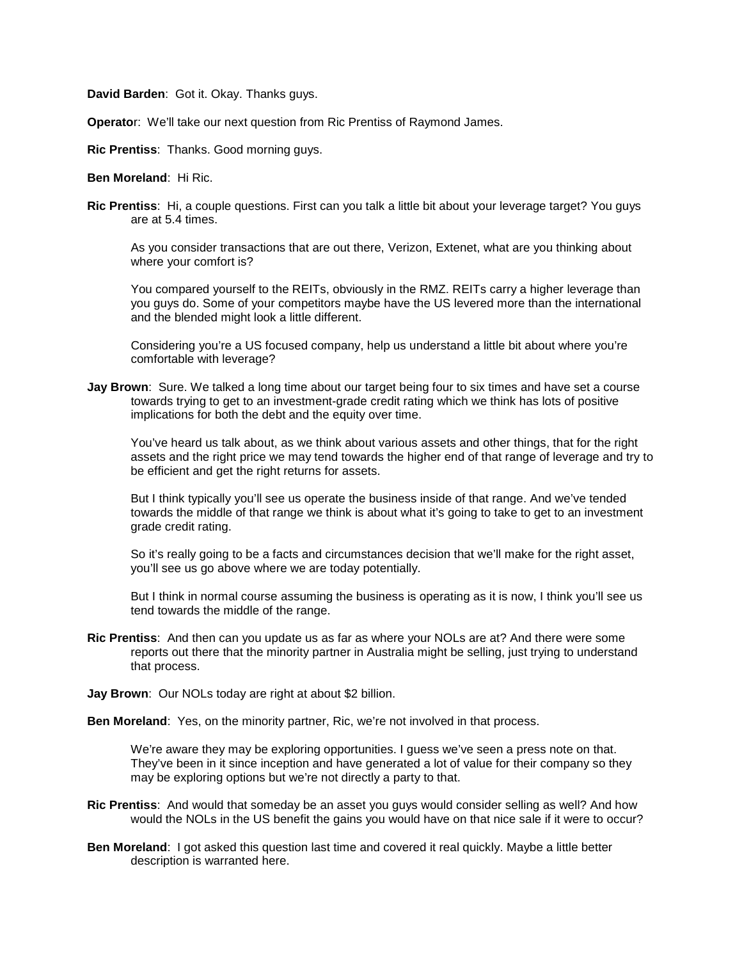**David Barden**: Got it. Okay. Thanks guys.

**Operato**r: We'll take our next question from Ric Prentiss of Raymond James.

**Ric Prentiss**: Thanks. Good morning guys.

**Ben Moreland**: Hi Ric.

**Ric Prentiss**: Hi, a couple questions. First can you talk a little bit about your leverage target? You guys are at 5.4 times.

As you consider transactions that are out there, Verizon, Extenet, what are you thinking about where your comfort is?

You compared yourself to the REITs, obviously in the RMZ. REITs carry a higher leverage than you guys do. Some of your competitors maybe have the US levered more than the international and the blended might look a little different.

Considering you're a US focused company, help us understand a little bit about where you're comfortable with leverage?

**Jay Brown**: Sure. We talked a long time about our target being four to six times and have set a course towards trying to get to an investment-grade credit rating which we think has lots of positive implications for both the debt and the equity over time.

You've heard us talk about, as we think about various assets and other things, that for the right assets and the right price we may tend towards the higher end of that range of leverage and try to be efficient and get the right returns for assets.

But I think typically you'll see us operate the business inside of that range. And we've tended towards the middle of that range we think is about what it's going to take to get to an investment grade credit rating.

So it's really going to be a facts and circumstances decision that we'll make for the right asset, you'll see us go above where we are today potentially.

But I think in normal course assuming the business is operating as it is now, I think you'll see us tend towards the middle of the range.

- **Ric Prentiss**: And then can you update us as far as where your NOLs are at? And there were some reports out there that the minority partner in Australia might be selling, just trying to understand that process.
- **Jay Brown**: Our NOLs today are right at about \$2 billion.

**Ben Moreland**: Yes, on the minority partner, Ric, we're not involved in that process.

We're aware they may be exploring opportunities. I guess we've seen a press note on that. They've been in it since inception and have generated a lot of value for their company so they may be exploring options but we're not directly a party to that.

- **Ric Prentiss**: And would that someday be an asset you guys would consider selling as well? And how would the NOLs in the US benefit the gains you would have on that nice sale if it were to occur?
- **Ben Moreland**: I got asked this question last time and covered it real quickly. Maybe a little better description is warranted here.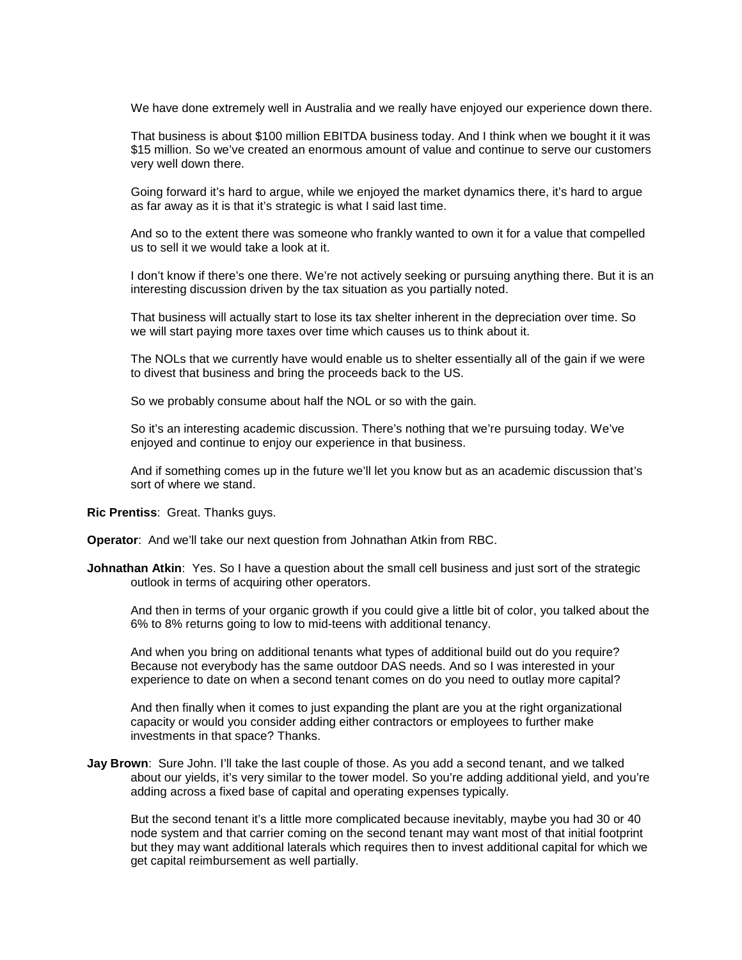We have done extremely well in Australia and we really have enjoyed our experience down there.

That business is about \$100 million EBITDA business today. And I think when we bought it it was \$15 million. So we've created an enormous amount of value and continue to serve our customers very well down there.

Going forward it's hard to argue, while we enjoyed the market dynamics there, it's hard to argue as far away as it is that it's strategic is what I said last time.

And so to the extent there was someone who frankly wanted to own it for a value that compelled us to sell it we would take a look at it.

I don't know if there's one there. We're not actively seeking or pursuing anything there. But it is an interesting discussion driven by the tax situation as you partially noted.

That business will actually start to lose its tax shelter inherent in the depreciation over time. So we will start paying more taxes over time which causes us to think about it.

The NOLs that we currently have would enable us to shelter essentially all of the gain if we were to divest that business and bring the proceeds back to the US.

So we probably consume about half the NOL or so with the gain.

So it's an interesting academic discussion. There's nothing that we're pursuing today. We've enjoyed and continue to enjoy our experience in that business.

And if something comes up in the future we'll let you know but as an academic discussion that's sort of where we stand.

**Ric Prentiss**: Great. Thanks guys.

**Operator**: And we'll take our next question from Johnathan Atkin from RBC.

**Johnathan Atkin:** Yes. So I have a question about the small cell business and just sort of the strategic outlook in terms of acquiring other operators.

And then in terms of your organic growth if you could give a little bit of color, you talked about the 6% to 8% returns going to low to mid-teens with additional tenancy.

And when you bring on additional tenants what types of additional build out do you require? Because not everybody has the same outdoor DAS needs. And so I was interested in your experience to date on when a second tenant comes on do you need to outlay more capital?

And then finally when it comes to just expanding the plant are you at the right organizational capacity or would you consider adding either contractors or employees to further make investments in that space? Thanks.

**Jay Brown**: Sure John. I'll take the last couple of those. As you add a second tenant, and we talked about our yields, it's very similar to the tower model. So you're adding additional yield, and you're adding across a fixed base of capital and operating expenses typically.

But the second tenant it's a little more complicated because inevitably, maybe you had 30 or 40 node system and that carrier coming on the second tenant may want most of that initial footprint but they may want additional laterals which requires then to invest additional capital for which we get capital reimbursement as well partially.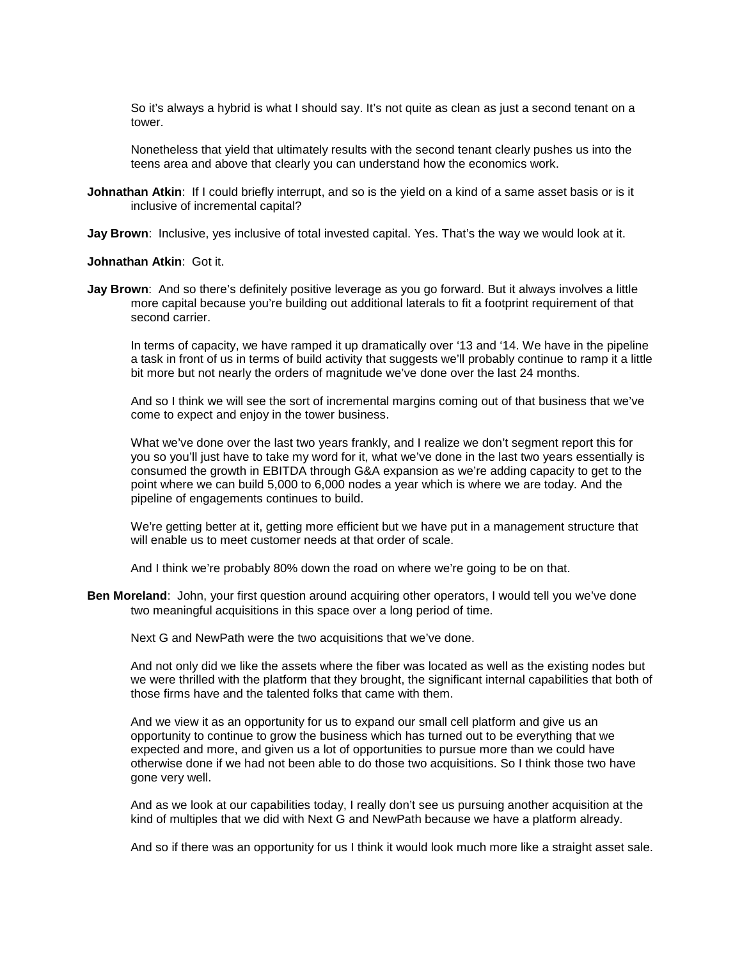So it's always a hybrid is what I should say. It's not quite as clean as just a second tenant on a tower.

Nonetheless that yield that ultimately results with the second tenant clearly pushes us into the teens area and above that clearly you can understand how the economics work.

**Johnathan Atkin**: If I could briefly interrupt, and so is the yield on a kind of a same asset basis or is it inclusive of incremental capital?

**Jay Brown**: Inclusive, yes inclusive of total invested capital. Yes. That's the way we would look at it.

#### **Johnathan Atkin**: Got it.

**Jay Brown**: And so there's definitely positive leverage as you go forward. But it always involves a little more capital because you're building out additional laterals to fit a footprint requirement of that second carrier.

In terms of capacity, we have ramped it up dramatically over '13 and '14. We have in the pipeline a task in front of us in terms of build activity that suggests we'll probably continue to ramp it a little bit more but not nearly the orders of magnitude we've done over the last 24 months.

And so I think we will see the sort of incremental margins coming out of that business that we've come to expect and enjoy in the tower business.

What we've done over the last two years frankly, and I realize we don't segment report this for you so you'll just have to take my word for it, what we've done in the last two years essentially is consumed the growth in EBITDA through G&A expansion as we're adding capacity to get to the point where we can build 5,000 to 6,000 nodes a year which is where we are today. And the pipeline of engagements continues to build.

We're getting better at it, getting more efficient but we have put in a management structure that will enable us to meet customer needs at that order of scale.

And I think we're probably 80% down the road on where we're going to be on that.

**Ben Moreland**: John, your first question around acquiring other operators, I would tell you we've done two meaningful acquisitions in this space over a long period of time.

Next G and NewPath were the two acquisitions that we've done.

And not only did we like the assets where the fiber was located as well as the existing nodes but we were thrilled with the platform that they brought, the significant internal capabilities that both of those firms have and the talented folks that came with them.

And we view it as an opportunity for us to expand our small cell platform and give us an opportunity to continue to grow the business which has turned out to be everything that we expected and more, and given us a lot of opportunities to pursue more than we could have otherwise done if we had not been able to do those two acquisitions. So I think those two have gone very well.

And as we look at our capabilities today, I really don't see us pursuing another acquisition at the kind of multiples that we did with Next G and NewPath because we have a platform already.

And so if there was an opportunity for us I think it would look much more like a straight asset sale.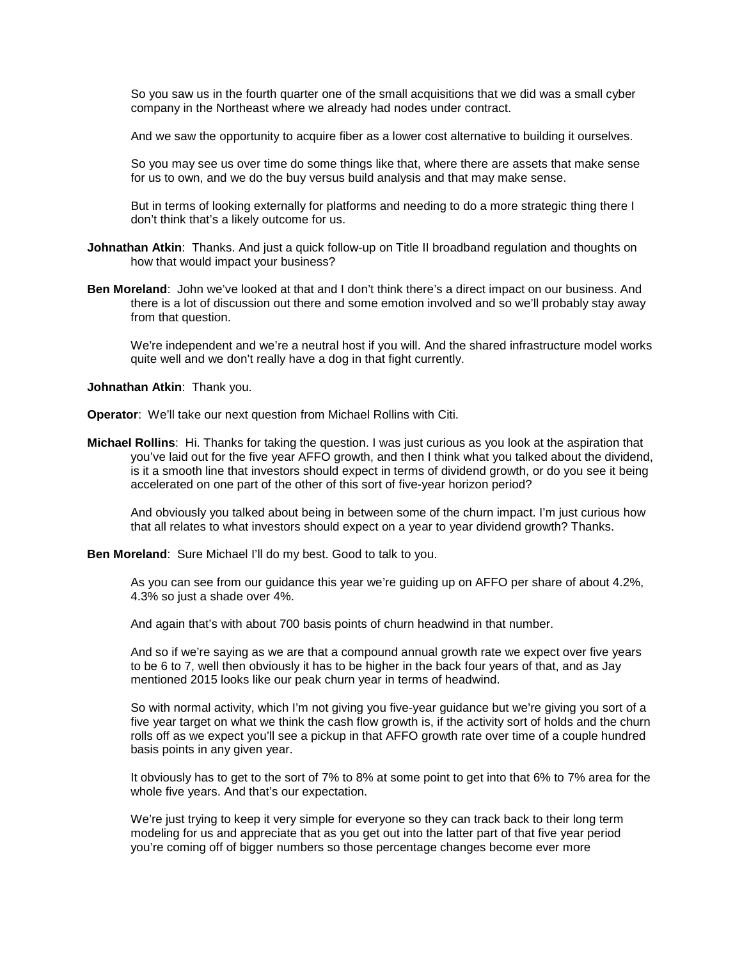So you saw us in the fourth quarter one of the small acquisitions that we did was a small cyber company in the Northeast where we already had nodes under contract.

And we saw the opportunity to acquire fiber as a lower cost alternative to building it ourselves.

So you may see us over time do some things like that, where there are assets that make sense for us to own, and we do the buy versus build analysis and that may make sense.

But in terms of looking externally for platforms and needing to do a more strategic thing there I don't think that's a likely outcome for us.

- **Johnathan Atkin**: Thanks. And just a quick follow-up on Title II broadband regulation and thoughts on how that would impact your business?
- **Ben Moreland**: John we've looked at that and I don't think there's a direct impact on our business. And there is a lot of discussion out there and some emotion involved and so we'll probably stay away from that question.

We're independent and we're a neutral host if you will. And the shared infrastructure model works quite well and we don't really have a dog in that fight currently.

**Johnathan Atkin**: Thank you.

**Operator**: We'll take our next question from Michael Rollins with Citi.

**Michael Rollins**: Hi. Thanks for taking the question. I was just curious as you look at the aspiration that you've laid out for the five year AFFO growth, and then I think what you talked about the dividend, is it a smooth line that investors should expect in terms of dividend growth, or do you see it being accelerated on one part of the other of this sort of five-year horizon period?

And obviously you talked about being in between some of the churn impact. I'm just curious how that all relates to what investors should expect on a year to year dividend growth? Thanks.

**Ben Moreland**: Sure Michael I'll do my best. Good to talk to you.

As you can see from our guidance this year we're guiding up on AFFO per share of about 4.2%, 4.3% so just a shade over 4%.

And again that's with about 700 basis points of churn headwind in that number.

And so if we're saying as we are that a compound annual growth rate we expect over five years to be 6 to 7, well then obviously it has to be higher in the back four years of that, and as Jay mentioned 2015 looks like our peak churn year in terms of headwind.

So with normal activity, which I'm not giving you five-year guidance but we're giving you sort of a five year target on what we think the cash flow growth is, if the activity sort of holds and the churn rolls off as we expect you'll see a pickup in that AFFO growth rate over time of a couple hundred basis points in any given year.

It obviously has to get to the sort of 7% to 8% at some point to get into that 6% to 7% area for the whole five years. And that's our expectation.

We're just trying to keep it very simple for everyone so they can track back to their long term modeling for us and appreciate that as you get out into the latter part of that five year period you're coming off of bigger numbers so those percentage changes become ever more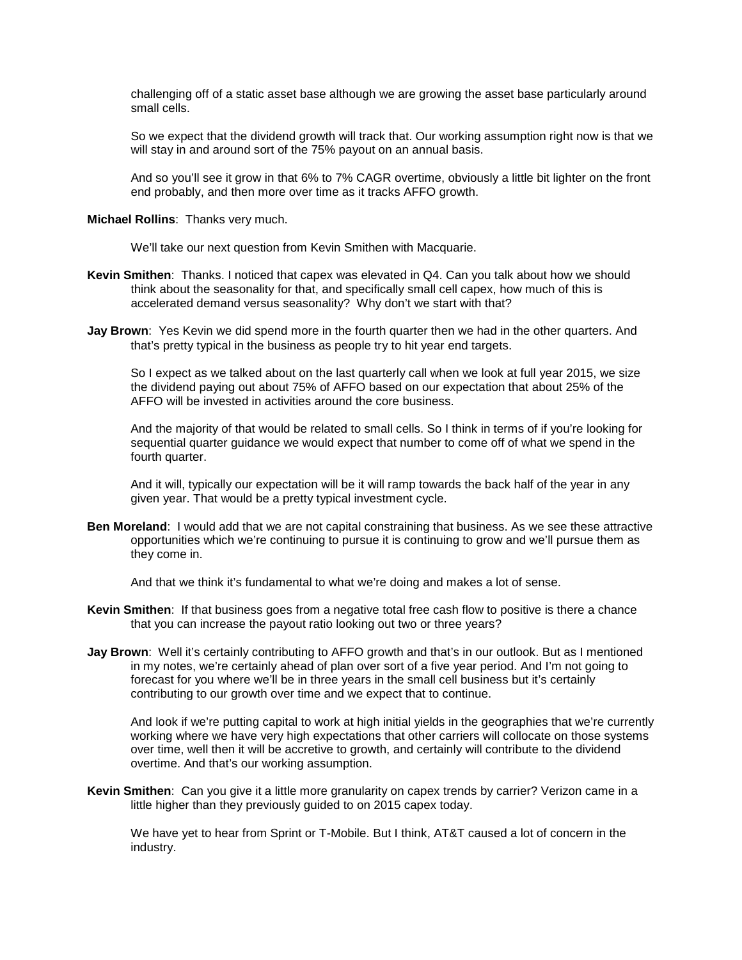challenging off of a static asset base although we are growing the asset base particularly around small cells.

So we expect that the dividend growth will track that. Our working assumption right now is that we will stay in and around sort of the 75% payout on an annual basis.

And so you'll see it grow in that 6% to 7% CAGR overtime, obviously a little bit lighter on the front end probably, and then more over time as it tracks AFFO growth.

**Michael Rollins**: Thanks very much.

We'll take our next question from Kevin Smithen with Macquarie.

- **Kevin Smithen**: Thanks. I noticed that capex was elevated in Q4. Can you talk about how we should think about the seasonality for that, and specifically small cell capex, how much of this is accelerated demand versus seasonality? Why don't we start with that?
- **Jay Brown**: Yes Kevin we did spend more in the fourth quarter then we had in the other quarters. And that's pretty typical in the business as people try to hit year end targets.

So I expect as we talked about on the last quarterly call when we look at full year 2015, we size the dividend paying out about 75% of AFFO based on our expectation that about 25% of the AFFO will be invested in activities around the core business.

And the majority of that would be related to small cells. So I think in terms of if you're looking for sequential quarter guidance we would expect that number to come off of what we spend in the fourth quarter.

And it will, typically our expectation will be it will ramp towards the back half of the year in any given year. That would be a pretty typical investment cycle.

**Ben Moreland**: I would add that we are not capital constraining that business. As we see these attractive opportunities which we're continuing to pursue it is continuing to grow and we'll pursue them as they come in.

And that we think it's fundamental to what we're doing and makes a lot of sense.

- **Kevin Smithen**: If that business goes from a negative total free cash flow to positive is there a chance that you can increase the payout ratio looking out two or three years?
- **Jay Brown**: Well it's certainly contributing to AFFO growth and that's in our outlook. But as I mentioned in my notes, we're certainly ahead of plan over sort of a five year period. And I'm not going to forecast for you where we'll be in three years in the small cell business but it's certainly contributing to our growth over time and we expect that to continue.

And look if we're putting capital to work at high initial yields in the geographies that we're currently working where we have very high expectations that other carriers will collocate on those systems over time, well then it will be accretive to growth, and certainly will contribute to the dividend overtime. And that's our working assumption.

**Kevin Smithen**: Can you give it a little more granularity on capex trends by carrier? Verizon came in a little higher than they previously guided to on 2015 capex today.

We have yet to hear from Sprint or T-Mobile. But I think, AT&T caused a lot of concern in the industry.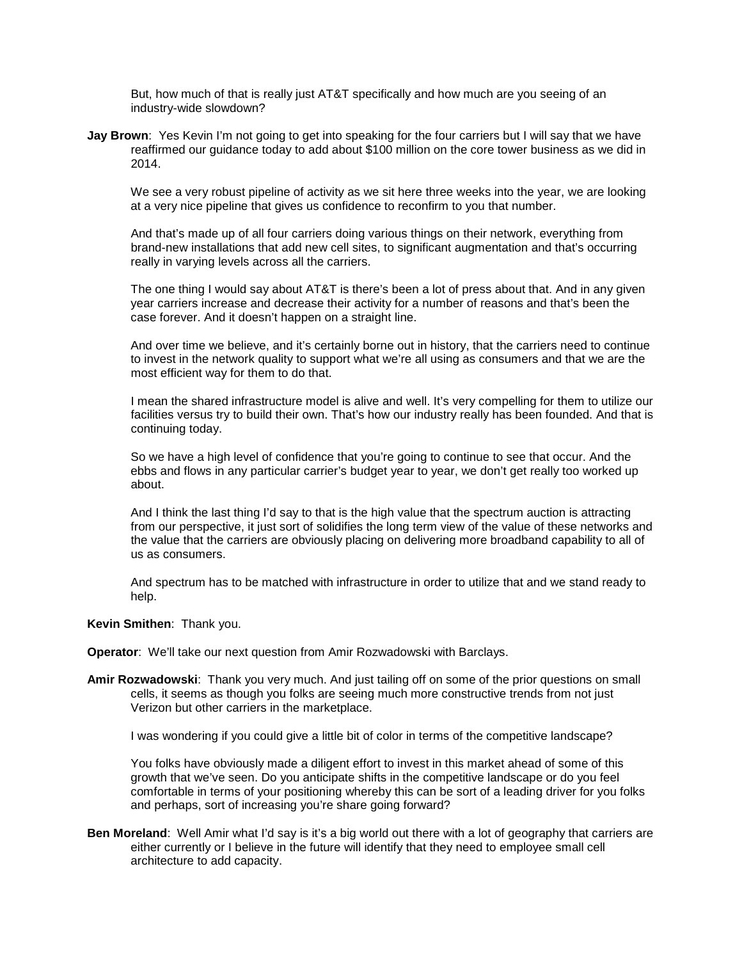But, how much of that is really just AT&T specifically and how much are you seeing of an industry-wide slowdown?

**Jay Brown**: Yes Kevin I'm not going to get into speaking for the four carriers but I will say that we have reaffirmed our guidance today to add about \$100 million on the core tower business as we did in 2014.

We see a very robust pipeline of activity as we sit here three weeks into the year, we are looking at a very nice pipeline that gives us confidence to reconfirm to you that number.

And that's made up of all four carriers doing various things on their network, everything from brand-new installations that add new cell sites, to significant augmentation and that's occurring really in varying levels across all the carriers.

The one thing I would say about AT&T is there's been a lot of press about that. And in any given year carriers increase and decrease their activity for a number of reasons and that's been the case forever. And it doesn't happen on a straight line.

And over time we believe, and it's certainly borne out in history, that the carriers need to continue to invest in the network quality to support what we're all using as consumers and that we are the most efficient way for them to do that.

I mean the shared infrastructure model is alive and well. It's very compelling for them to utilize our facilities versus try to build their own. That's how our industry really has been founded. And that is continuing today.

So we have a high level of confidence that you're going to continue to see that occur. And the ebbs and flows in any particular carrier's budget year to year, we don't get really too worked up about.

And I think the last thing I'd say to that is the high value that the spectrum auction is attracting from our perspective, it just sort of solidifies the long term view of the value of these networks and the value that the carriers are obviously placing on delivering more broadband capability to all of us as consumers.

And spectrum has to be matched with infrastructure in order to utilize that and we stand ready to help.

#### **Kevin Smithen**: Thank you.

**Operator**: We'll take our next question from Amir Rozwadowski with Barclays.

**Amir Rozwadowski**: Thank you very much. And just tailing off on some of the prior questions on small cells, it seems as though you folks are seeing much more constructive trends from not just Verizon but other carriers in the marketplace.

I was wondering if you could give a little bit of color in terms of the competitive landscape?

You folks have obviously made a diligent effort to invest in this market ahead of some of this growth that we've seen. Do you anticipate shifts in the competitive landscape or do you feel comfortable in terms of your positioning whereby this can be sort of a leading driver for you folks and perhaps, sort of increasing you're share going forward?

**Ben Moreland**: Well Amir what I'd say is it's a big world out there with a lot of geography that carriers are either currently or I believe in the future will identify that they need to employee small cell architecture to add capacity.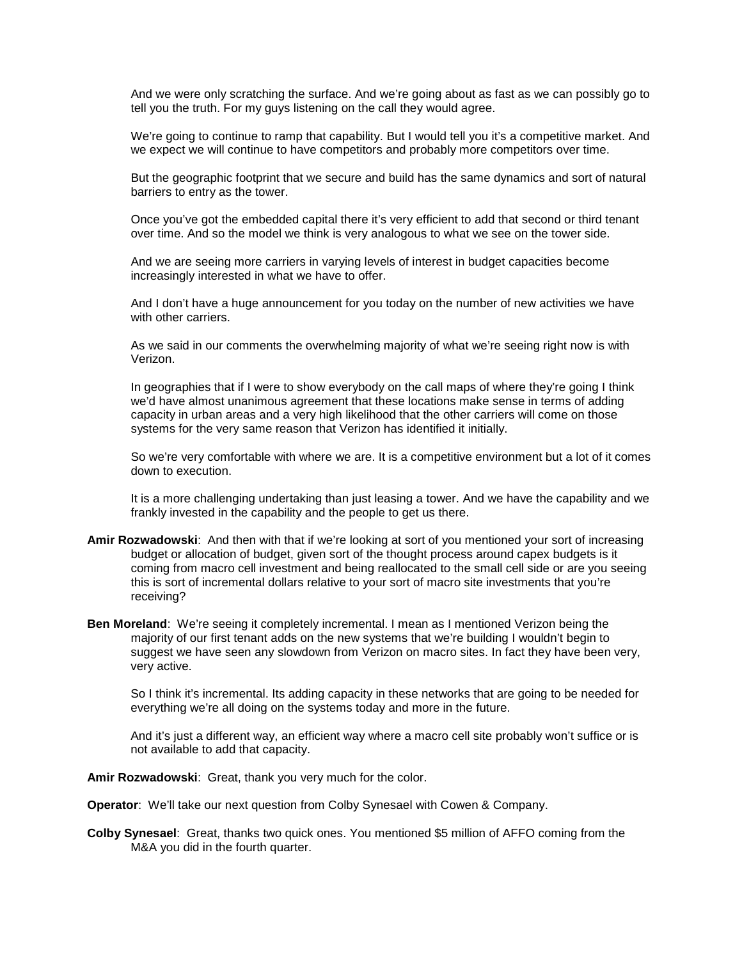And we were only scratching the surface. And we're going about as fast as we can possibly go to tell you the truth. For my guys listening on the call they would agree.

We're going to continue to ramp that capability. But I would tell you it's a competitive market. And we expect we will continue to have competitors and probably more competitors over time.

But the geographic footprint that we secure and build has the same dynamics and sort of natural barriers to entry as the tower.

Once you've got the embedded capital there it's very efficient to add that second or third tenant over time. And so the model we think is very analogous to what we see on the tower side.

And we are seeing more carriers in varying levels of interest in budget capacities become increasingly interested in what we have to offer.

And I don't have a huge announcement for you today on the number of new activities we have with other carriers.

As we said in our comments the overwhelming majority of what we're seeing right now is with Verizon.

In geographies that if I were to show everybody on the call maps of where they're going I think we'd have almost unanimous agreement that these locations make sense in terms of adding capacity in urban areas and a very high likelihood that the other carriers will come on those systems for the very same reason that Verizon has identified it initially.

So we're very comfortable with where we are. It is a competitive environment but a lot of it comes down to execution.

It is a more challenging undertaking than just leasing a tower. And we have the capability and we frankly invested in the capability and the people to get us there.

- **Amir Rozwadowski**: And then with that if we're looking at sort of you mentioned your sort of increasing budget or allocation of budget, given sort of the thought process around capex budgets is it coming from macro cell investment and being reallocated to the small cell side or are you seeing this is sort of incremental dollars relative to your sort of macro site investments that you're receiving?
- **Ben Moreland**: We're seeing it completely incremental. I mean as I mentioned Verizon being the majority of our first tenant adds on the new systems that we're building I wouldn't begin to suggest we have seen any slowdown from Verizon on macro sites. In fact they have been very, very active.

So I think it's incremental. Its adding capacity in these networks that are going to be needed for everything we're all doing on the systems today and more in the future.

And it's just a different way, an efficient way where a macro cell site probably won't suffice or is not available to add that capacity.

**Amir Rozwadowski**: Great, thank you very much for the color.

**Operator**: We'll take our next question from Colby Synesael with Cowen & Company.

**Colby Synesael**: Great, thanks two quick ones. You mentioned \$5 million of AFFO coming from the M&A you did in the fourth quarter.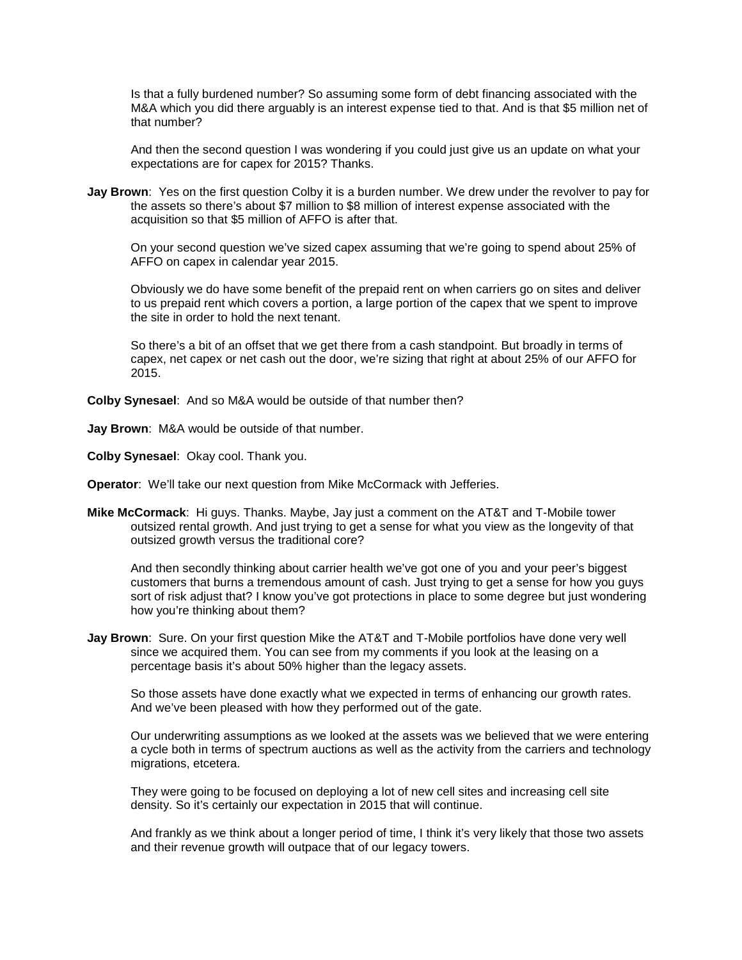Is that a fully burdened number? So assuming some form of debt financing associated with the M&A which you did there arguably is an interest expense tied to that. And is that \$5 million net of that number?

And then the second question I was wondering if you could just give us an update on what your expectations are for capex for 2015? Thanks.

**Jay Brown**: Yes on the first question Colby it is a burden number. We drew under the revolver to pay for the assets so there's about \$7 million to \$8 million of interest expense associated with the acquisition so that \$5 million of AFFO is after that.

On your second question we've sized capex assuming that we're going to spend about 25% of AFFO on capex in calendar year 2015.

Obviously we do have some benefit of the prepaid rent on when carriers go on sites and deliver to us prepaid rent which covers a portion, a large portion of the capex that we spent to improve the site in order to hold the next tenant.

So there's a bit of an offset that we get there from a cash standpoint. But broadly in terms of capex, net capex or net cash out the door, we're sizing that right at about 25% of our AFFO for 2015.

**Colby Synesael**: And so M&A would be outside of that number then?

**Jay Brown**: M&A would be outside of that number.

**Colby Synesael**: Okay cool. Thank you.

**Operator**: We'll take our next question from Mike McCormack with Jefferies.

**Mike McCormack**: Hi guys. Thanks. Maybe, Jay just a comment on the AT&T and T-Mobile tower outsized rental growth. And just trying to get a sense for what you view as the longevity of that outsized growth versus the traditional core?

And then secondly thinking about carrier health we've got one of you and your peer's biggest customers that burns a tremendous amount of cash. Just trying to get a sense for how you guys sort of risk adjust that? I know you've got protections in place to some degree but just wondering how you're thinking about them?

**Jay Brown**: Sure. On your first question Mike the AT&T and T-Mobile portfolios have done very well since we acquired them. You can see from my comments if you look at the leasing on a percentage basis it's about 50% higher than the legacy assets.

So those assets have done exactly what we expected in terms of enhancing our growth rates. And we've been pleased with how they performed out of the gate.

Our underwriting assumptions as we looked at the assets was we believed that we were entering a cycle both in terms of spectrum auctions as well as the activity from the carriers and technology migrations, etcetera.

They were going to be focused on deploying a lot of new cell sites and increasing cell site density. So it's certainly our expectation in 2015 that will continue.

And frankly as we think about a longer period of time, I think it's very likely that those two assets and their revenue growth will outpace that of our legacy towers.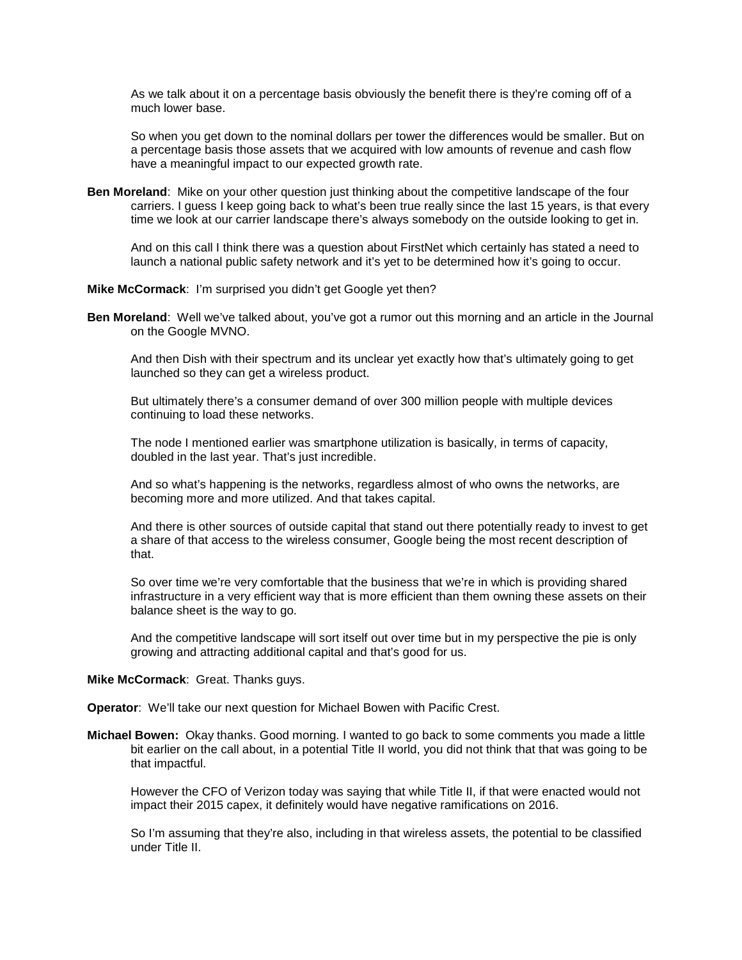As we talk about it on a percentage basis obviously the benefit there is they're coming off of a much lower base.

So when you get down to the nominal dollars per tower the differences would be smaller. But on a percentage basis those assets that we acquired with low amounts of revenue and cash flow have a meaningful impact to our expected growth rate.

**Ben Moreland**: Mike on your other question just thinking about the competitive landscape of the four carriers. I guess I keep going back to what's been true really since the last 15 years, is that every time we look at our carrier landscape there's always somebody on the outside looking to get in.

And on this call I think there was a question about FirstNet which certainly has stated a need to launch a national public safety network and it's yet to be determined how it's going to occur.

#### **Mike McCormack**: I'm surprised you didn't get Google yet then?

**Ben Moreland**: Well we've talked about, you've got a rumor out this morning and an article in the Journal on the Google MVNO.

And then Dish with their spectrum and its unclear yet exactly how that's ultimately going to get launched so they can get a wireless product.

But ultimately there's a consumer demand of over 300 million people with multiple devices continuing to load these networks.

The node I mentioned earlier was smartphone utilization is basically, in terms of capacity, doubled in the last year. That's just incredible.

And so what's happening is the networks, regardless almost of who owns the networks, are becoming more and more utilized. And that takes capital.

And there is other sources of outside capital that stand out there potentially ready to invest to get a share of that access to the wireless consumer, Google being the most recent description of that.

So over time we're very comfortable that the business that we're in which is providing shared infrastructure in a very efficient way that is more efficient than them owning these assets on their balance sheet is the way to go.

And the competitive landscape will sort itself out over time but in my perspective the pie is only growing and attracting additional capital and that's good for us.

## **Mike McCormack**: Great. Thanks guys.

**Operator**: We'll take our next question for Michael Bowen with Pacific Crest.

**Michael Bowen:** Okay thanks. Good morning. I wanted to go back to some comments you made a little bit earlier on the call about, in a potential Title II world, you did not think that that was going to be that impactful.

However the CFO of Verizon today was saying that while Title II, if that were enacted would not impact their 2015 capex, it definitely would have negative ramifications on 2016.

So I'm assuming that they're also, including in that wireless assets, the potential to be classified under Title II.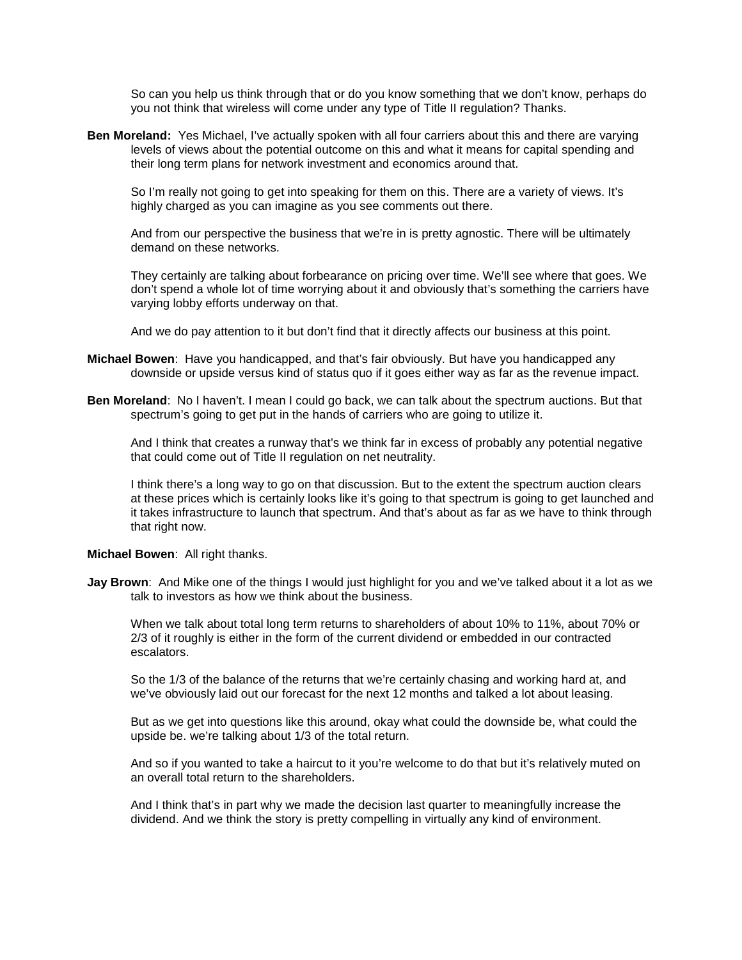So can you help us think through that or do you know something that we don't know, perhaps do you not think that wireless will come under any type of Title II regulation? Thanks.

**Ben Moreland:** Yes Michael, I've actually spoken with all four carriers about this and there are varying levels of views about the potential outcome on this and what it means for capital spending and their long term plans for network investment and economics around that.

So I'm really not going to get into speaking for them on this. There are a variety of views. It's highly charged as you can imagine as you see comments out there.

And from our perspective the business that we're in is pretty agnostic. There will be ultimately demand on these networks.

They certainly are talking about forbearance on pricing over time. We'll see where that goes. We don't spend a whole lot of time worrying about it and obviously that's something the carriers have varying lobby efforts underway on that.

And we do pay attention to it but don't find that it directly affects our business at this point.

- **Michael Bowen**: Have you handicapped, and that's fair obviously. But have you handicapped any downside or upside versus kind of status quo if it goes either way as far as the revenue impact.
- **Ben Moreland**: No I haven't. I mean I could go back, we can talk about the spectrum auctions. But that spectrum's going to get put in the hands of carriers who are going to utilize it.

And I think that creates a runway that's we think far in excess of probably any potential negative that could come out of Title II regulation on net neutrality.

I think there's a long way to go on that discussion. But to the extent the spectrum auction clears at these prices which is certainly looks like it's going to that spectrum is going to get launched and it takes infrastructure to launch that spectrum. And that's about as far as we have to think through that right now.

**Michael Bowen**: All right thanks.

**Jay Brown**: And Mike one of the things I would just highlight for you and we've talked about it a lot as we talk to investors as how we think about the business.

When we talk about total long term returns to shareholders of about 10% to 11%, about 70% or 2/3 of it roughly is either in the form of the current dividend or embedded in our contracted escalators.

So the 1/3 of the balance of the returns that we're certainly chasing and working hard at, and we've obviously laid out our forecast for the next 12 months and talked a lot about leasing.

But as we get into questions like this around, okay what could the downside be, what could the upside be. we're talking about 1/3 of the total return.

And so if you wanted to take a haircut to it you're welcome to do that but it's relatively muted on an overall total return to the shareholders.

And I think that's in part why we made the decision last quarter to meaningfully increase the dividend. And we think the story is pretty compelling in virtually any kind of environment.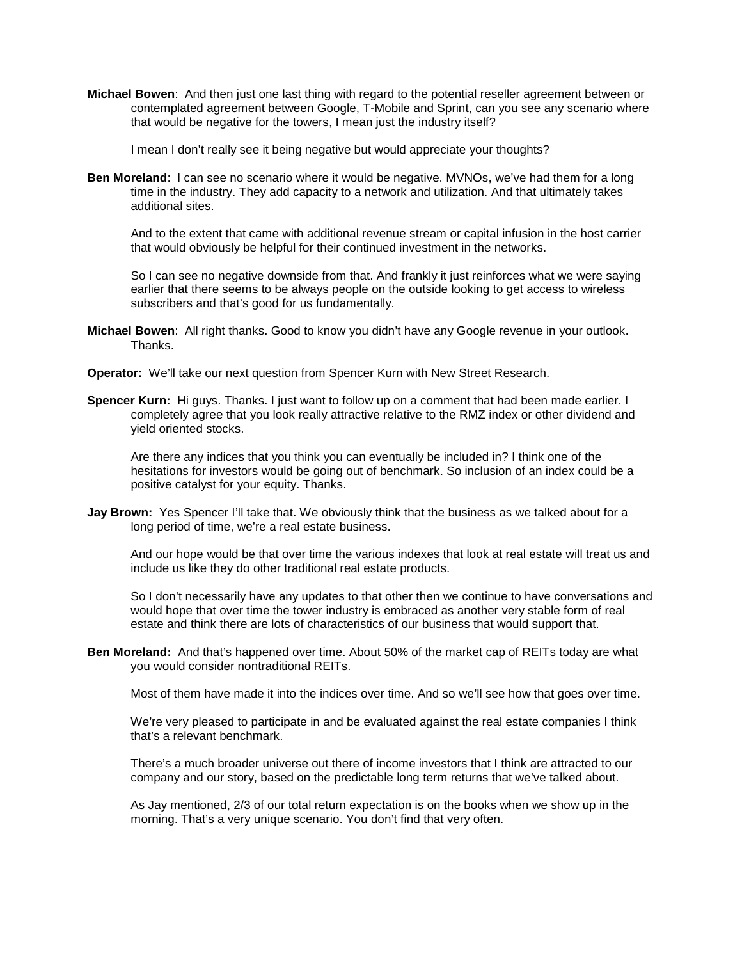**Michael Bowen**: And then just one last thing with regard to the potential reseller agreement between or contemplated agreement between Google, T-Mobile and Sprint, can you see any scenario where that would be negative for the towers, I mean just the industry itself?

I mean I don't really see it being negative but would appreciate your thoughts?

**Ben Moreland**: I can see no scenario where it would be negative. MVNOs, we've had them for a long time in the industry. They add capacity to a network and utilization. And that ultimately takes additional sites.

And to the extent that came with additional revenue stream or capital infusion in the host carrier that would obviously be helpful for their continued investment in the networks.

So I can see no negative downside from that. And frankly it just reinforces what we were saying earlier that there seems to be always people on the outside looking to get access to wireless subscribers and that's good for us fundamentally.

- **Michael Bowen**: All right thanks. Good to know you didn't have any Google revenue in your outlook. Thanks.
- **Operator:** We'll take our next question from Spencer Kurn with New Street Research.
- **Spencer Kurn:** Hi guys. Thanks. I just want to follow up on a comment that had been made earlier. I completely agree that you look really attractive relative to the RMZ index or other dividend and yield oriented stocks.

Are there any indices that you think you can eventually be included in? I think one of the hesitations for investors would be going out of benchmark. So inclusion of an index could be a positive catalyst for your equity. Thanks.

**Jay Brown:** Yes Spencer I'll take that. We obviously think that the business as we talked about for a long period of time, we're a real estate business.

And our hope would be that over time the various indexes that look at real estate will treat us and include us like they do other traditional real estate products.

So I don't necessarily have any updates to that other then we continue to have conversations and would hope that over time the tower industry is embraced as another very stable form of real estate and think there are lots of characteristics of our business that would support that.

**Ben Moreland:** And that's happened over time. About 50% of the market cap of REITs today are what you would consider nontraditional REITs.

Most of them have made it into the indices over time. And so we'll see how that goes over time.

We're very pleased to participate in and be evaluated against the real estate companies I think that's a relevant benchmark.

There's a much broader universe out there of income investors that I think are attracted to our company and our story, based on the predictable long term returns that we've talked about.

As Jay mentioned, 2/3 of our total return expectation is on the books when we show up in the morning. That's a very unique scenario. You don't find that very often.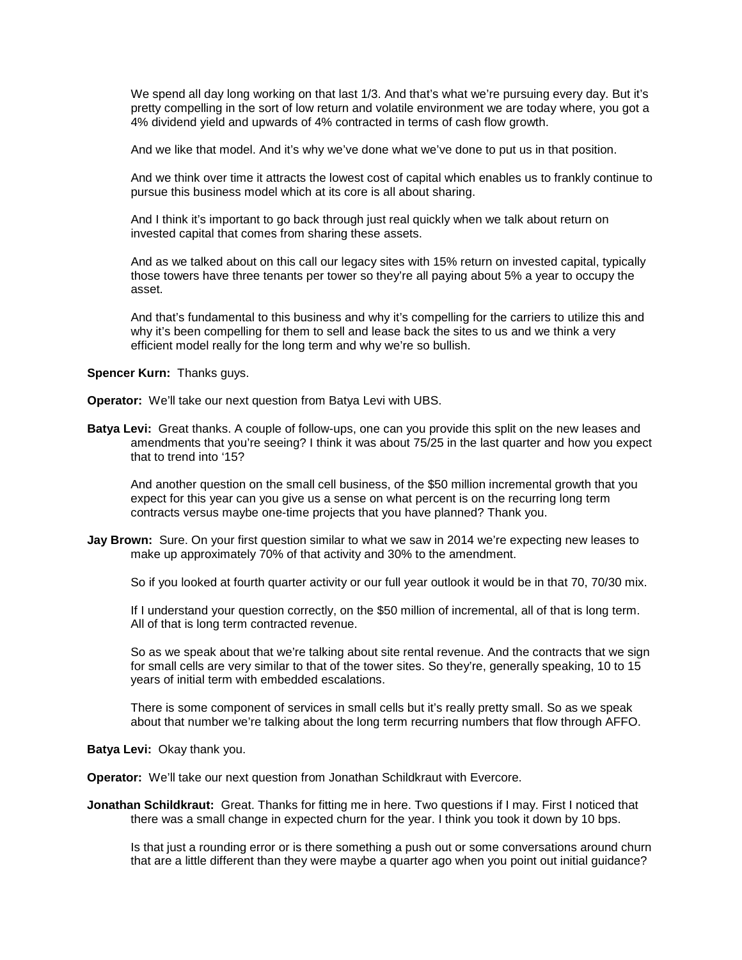We spend all day long working on that last 1/3. And that's what we're pursuing every day. But it's pretty compelling in the sort of low return and volatile environment we are today where, you got a 4% dividend yield and upwards of 4% contracted in terms of cash flow growth.

And we like that model. And it's why we've done what we've done to put us in that position.

And we think over time it attracts the lowest cost of capital which enables us to frankly continue to pursue this business model which at its core is all about sharing.

And I think it's important to go back through just real quickly when we talk about return on invested capital that comes from sharing these assets.

And as we talked about on this call our legacy sites with 15% return on invested capital, typically those towers have three tenants per tower so they're all paying about 5% a year to occupy the asset.

And that's fundamental to this business and why it's compelling for the carriers to utilize this and why it's been compelling for them to sell and lease back the sites to us and we think a very efficient model really for the long term and why we're so bullish.

## **Spencer Kurn:** Thanks guys.

**Operator:** We'll take our next question from Batya Levi with UBS.

**Batya Levi:** Great thanks. A couple of follow-ups, one can you provide this split on the new leases and amendments that you're seeing? I think it was about 75/25 in the last quarter and how you expect that to trend into '15?

And another question on the small cell business, of the \$50 million incremental growth that you expect for this year can you give us a sense on what percent is on the recurring long term contracts versus maybe one-time projects that you have planned? Thank you.

**Jay Brown:** Sure. On your first question similar to what we saw in 2014 we're expecting new leases to make up approximately 70% of that activity and 30% to the amendment.

So if you looked at fourth quarter activity or our full year outlook it would be in that 70, 70/30 mix.

If I understand your question correctly, on the \$50 million of incremental, all of that is long term. All of that is long term contracted revenue.

So as we speak about that we're talking about site rental revenue. And the contracts that we sign for small cells are very similar to that of the tower sites. So they're, generally speaking, 10 to 15 years of initial term with embedded escalations.

There is some component of services in small cells but it's really pretty small. So as we speak about that number we're talking about the long term recurring numbers that flow through AFFO.

### **Batya Levi:** Okay thank you.

**Operator:** We'll take our next question from Jonathan Schildkraut with Evercore.

**Jonathan Schildkraut:** Great. Thanks for fitting me in here. Two questions if I may. First I noticed that there was a small change in expected churn for the year. I think you took it down by 10 bps.

Is that just a rounding error or is there something a push out or some conversations around churn that are a little different than they were maybe a quarter ago when you point out initial guidance?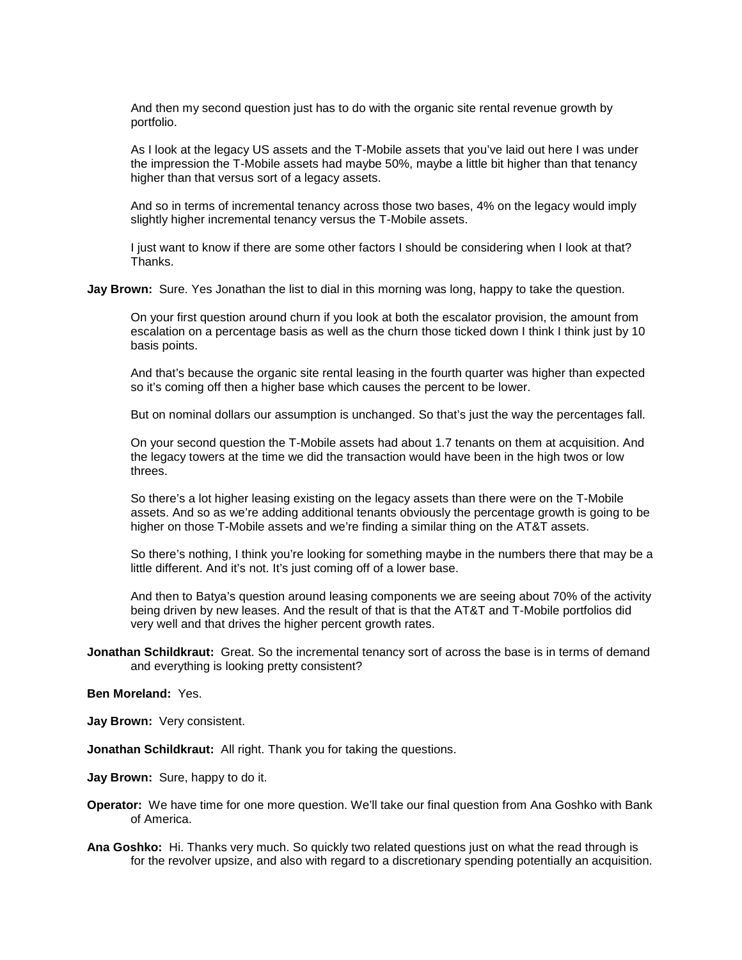And then my second question just has to do with the organic site rental revenue growth by portfolio.

As I look at the legacy US assets and the T-Mobile assets that you've laid out here I was under the impression the T-Mobile assets had maybe 50%, maybe a little bit higher than that tenancy higher than that versus sort of a legacy assets.

And so in terms of incremental tenancy across those two bases, 4% on the legacy would imply slightly higher incremental tenancy versus the T-Mobile assets.

I just want to know if there are some other factors I should be considering when I look at that? **Thanks** 

**Jay Brown:** Sure. Yes Jonathan the list to dial in this morning was long, happy to take the question.

On your first question around churn if you look at both the escalator provision, the amount from escalation on a percentage basis as well as the churn those ticked down I think I think just by 10 basis points.

And that's because the organic site rental leasing in the fourth quarter was higher than expected so it's coming off then a higher base which causes the percent to be lower.

But on nominal dollars our assumption is unchanged. So that's just the way the percentages fall.

On your second question the T-Mobile assets had about 1.7 tenants on them at acquisition. And the legacy towers at the time we did the transaction would have been in the high twos or low threes.

So there's a lot higher leasing existing on the legacy assets than there were on the T-Mobile assets. And so as we're adding additional tenants obviously the percentage growth is going to be higher on those T-Mobile assets and we're finding a similar thing on the AT&T assets.

So there's nothing, I think you're looking for something maybe in the numbers there that may be a little different. And it's not. It's just coming off of a lower base.

And then to Batya's question around leasing components we are seeing about 70% of the activity being driven by new leases. And the result of that is that the AT&T and T-Mobile portfolios did very well and that drives the higher percent growth rates.

**Jonathan Schildkraut:** Great. So the incremental tenancy sort of across the base is in terms of demand and everything is looking pretty consistent?

## **Ben Moreland:** Yes.

**Jay Brown:** Very consistent.

**Jonathan Schildkraut:** All right. Thank you for taking the questions.

**Jay Brown:** Sure, happy to do it.

- **Operator:** We have time for one more question. We'll take our final question from Ana Goshko with Bank of America.
- **Ana Goshko:** Hi. Thanks very much. So quickly two related questions just on what the read through is for the revolver upsize, and also with regard to a discretionary spending potentially an acquisition.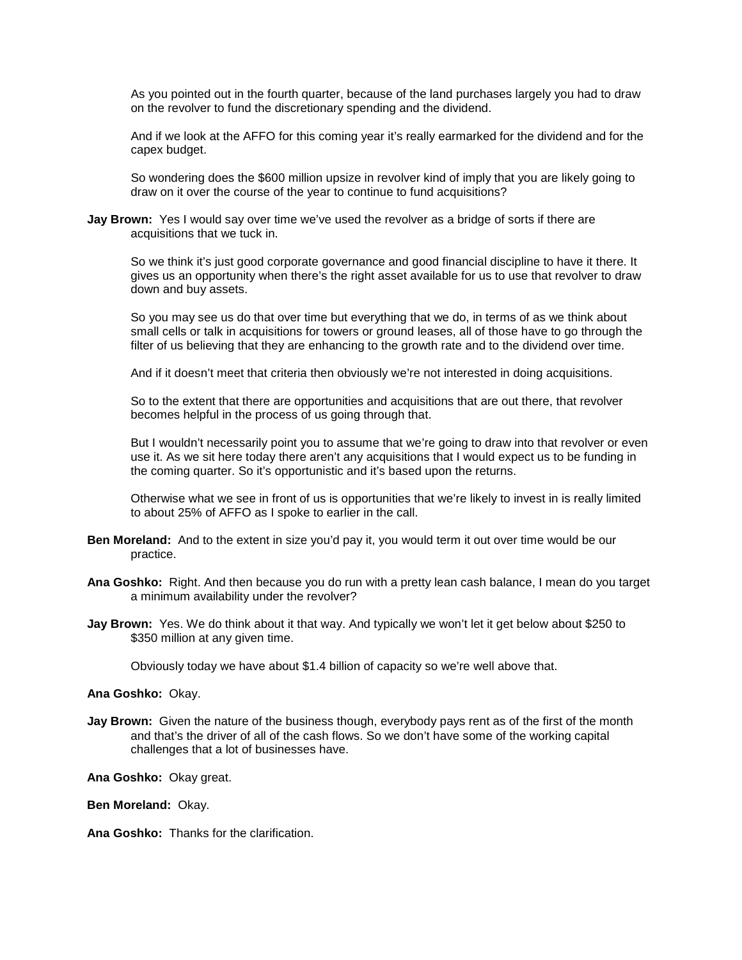As you pointed out in the fourth quarter, because of the land purchases largely you had to draw on the revolver to fund the discretionary spending and the dividend.

And if we look at the AFFO for this coming year it's really earmarked for the dividend and for the capex budget.

So wondering does the \$600 million upsize in revolver kind of imply that you are likely going to draw on it over the course of the year to continue to fund acquisitions?

**Jay Brown:** Yes I would say over time we've used the revolver as a bridge of sorts if there are acquisitions that we tuck in.

So we think it's just good corporate governance and good financial discipline to have it there. It gives us an opportunity when there's the right asset available for us to use that revolver to draw down and buy assets.

So you may see us do that over time but everything that we do, in terms of as we think about small cells or talk in acquisitions for towers or ground leases, all of those have to go through the filter of us believing that they are enhancing to the growth rate and to the dividend over time.

And if it doesn't meet that criteria then obviously we're not interested in doing acquisitions.

So to the extent that there are opportunities and acquisitions that are out there, that revolver becomes helpful in the process of us going through that.

But I wouldn't necessarily point you to assume that we're going to draw into that revolver or even use it. As we sit here today there aren't any acquisitions that I would expect us to be funding in the coming quarter. So it's opportunistic and it's based upon the returns.

Otherwise what we see in front of us is opportunities that we're likely to invest in is really limited to about 25% of AFFO as I spoke to earlier in the call.

- **Ben Moreland:** And to the extent in size you'd pay it, you would term it out over time would be our practice.
- **Ana Goshko:** Right. And then because you do run with a pretty lean cash balance, I mean do you target a minimum availability under the revolver?
- **Jay Brown:** Yes. We do think about it that way. And typically we won't let it get below about \$250 to \$350 million at any given time.

Obviously today we have about \$1.4 billion of capacity so we're well above that.

#### **Ana Goshko:** Okay.

**Jay Brown:** Given the nature of the business though, everybody pays rent as of the first of the month and that's the driver of all of the cash flows. So we don't have some of the working capital challenges that a lot of businesses have.

**Ana Goshko:** Okay great.

**Ben Moreland:** Okay.

**Ana Goshko:** Thanks for the clarification.